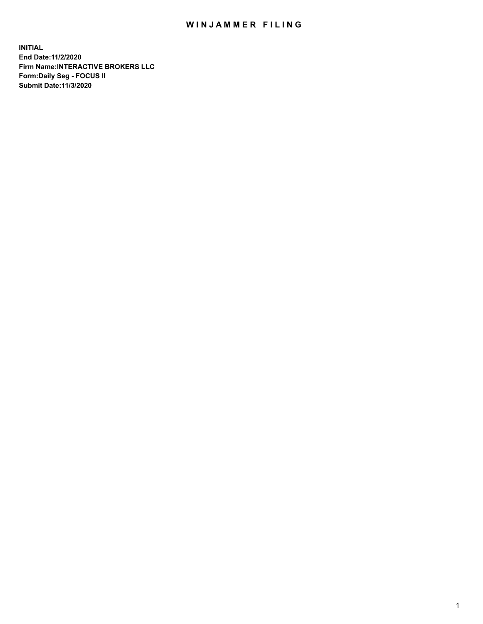## WIN JAMMER FILING

**INITIAL End Date:11/2/2020 Firm Name:INTERACTIVE BROKERS LLC Form:Daily Seg - FOCUS II Submit Date:11/3/2020**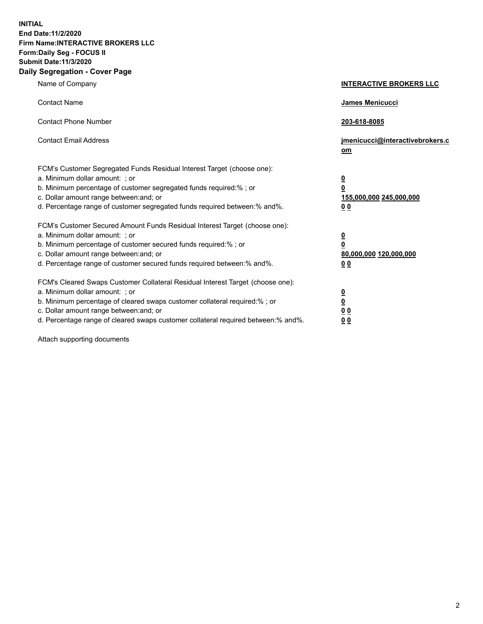**INITIAL End Date:11/2/2020 Firm Name:INTERACTIVE BROKERS LLC Form:Daily Seg - FOCUS II Submit Date:11/3/2020 Daily Segregation - Cover Page**

| Name of Company                                                                                                                                                                                                                                                                                                               | <b>INTERACTIVE BROKERS LLC</b>                                                   |
|-------------------------------------------------------------------------------------------------------------------------------------------------------------------------------------------------------------------------------------------------------------------------------------------------------------------------------|----------------------------------------------------------------------------------|
| <b>Contact Name</b>                                                                                                                                                                                                                                                                                                           | James Menicucci                                                                  |
| <b>Contact Phone Number</b>                                                                                                                                                                                                                                                                                                   | 203-618-8085                                                                     |
| <b>Contact Email Address</b>                                                                                                                                                                                                                                                                                                  | jmenicucci@interactivebrokers.c<br>om                                            |
| FCM's Customer Segregated Funds Residual Interest Target (choose one):<br>a. Minimum dollar amount: ; or<br>b. Minimum percentage of customer segregated funds required:% ; or<br>c. Dollar amount range between: and; or<br>d. Percentage range of customer segregated funds required between:% and%.                        | <u>0</u><br>$\overline{\mathbf{0}}$<br>155,000,000 245,000,000<br>0 <sub>0</sub> |
| FCM's Customer Secured Amount Funds Residual Interest Target (choose one):<br>a. Minimum dollar amount: ; or<br>b. Minimum percentage of customer secured funds required:%; or<br>c. Dollar amount range between: and; or<br>d. Percentage range of customer secured funds required between:% and%.                           | <u>0</u><br>$\overline{\mathbf{0}}$<br>80,000,000 120,000,000<br>0 <sub>0</sub>  |
| FCM's Cleared Swaps Customer Collateral Residual Interest Target (choose one):<br>a. Minimum dollar amount: ; or<br>b. Minimum percentage of cleared swaps customer collateral required:%; or<br>c. Dollar amount range between: and; or<br>d. Percentage range of cleared swaps customer collateral required between:% and%. | <u>0</u><br>$\underline{\mathbf{0}}$<br>0 <sub>0</sub><br>0 <sub>0</sub>         |

Attach supporting documents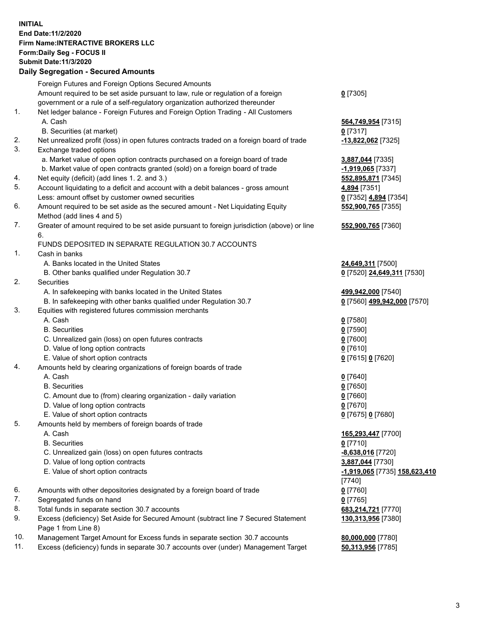**INITIAL End Date:11/2/2020 Firm Name:INTERACTIVE BROKERS LLC Form:Daily Seg - FOCUS II Submit Date:11/3/2020 Daily Segregation - Secured Amounts**

|     | Daily Segregation - Secured Amounts                                                         |                                                   |
|-----|---------------------------------------------------------------------------------------------|---------------------------------------------------|
|     | Foreign Futures and Foreign Options Secured Amounts                                         |                                                   |
|     | Amount required to be set aside pursuant to law, rule or regulation of a foreign            | $0$ [7305]                                        |
|     | government or a rule of a self-regulatory organization authorized thereunder                |                                                   |
| 1.  | Net ledger balance - Foreign Futures and Foreign Option Trading - All Customers             |                                                   |
|     | A. Cash                                                                                     | 564,749,954 [7315]                                |
|     | B. Securities (at market)                                                                   | $0$ [7317]                                        |
| 2.  | Net unrealized profit (loss) in open futures contracts traded on a foreign board of trade   | -13,822,062 [7325]                                |
| 3.  | Exchange traded options                                                                     |                                                   |
|     | a. Market value of open option contracts purchased on a foreign board of trade              | 3,887,044 [7335]                                  |
|     | b. Market value of open contracts granted (sold) on a foreign board of trade                | -1,919,065 [7337]                                 |
| 4.  | Net equity (deficit) (add lines 1. 2. and 3.)                                               | 552,895,871 [7345]                                |
| 5.  | Account liquidating to a deficit and account with a debit balances - gross amount           | 4,894 [7351]                                      |
|     | Less: amount offset by customer owned securities                                            | 0 [7352] 4,894 [7354]                             |
| 6.  | Amount required to be set aside as the secured amount - Net Liquidating Equity              | 552,900,765 [7355]                                |
|     | Method (add lines 4 and 5)                                                                  |                                                   |
| 7.  | Greater of amount required to be set aside pursuant to foreign jurisdiction (above) or line | 552,900,765 [7360]                                |
|     | 6.                                                                                          |                                                   |
|     | FUNDS DEPOSITED IN SEPARATE REGULATION 30.7 ACCOUNTS                                        |                                                   |
| 1.  | Cash in banks                                                                               |                                                   |
|     | A. Banks located in the United States                                                       |                                                   |
|     | B. Other banks qualified under Regulation 30.7                                              | 24,649,311 [7500]<br>0 [7520] 24,649,311 [7530]   |
| 2.  | <b>Securities</b>                                                                           |                                                   |
|     | A. In safekeeping with banks located in the United States                                   |                                                   |
|     | B. In safekeeping with other banks qualified under Regulation 30.7                          | 499,942,000 [7540]<br>0 [7560] 499,942,000 [7570] |
| 3.  | Equities with registered futures commission merchants                                       |                                                   |
|     | A. Cash                                                                                     | $0$ [7580]                                        |
|     | <b>B.</b> Securities                                                                        | $0$ [7590]                                        |
|     |                                                                                             | $0$ [7600]                                        |
|     | C. Unrealized gain (loss) on open futures contracts<br>D. Value of long option contracts    | $0$ [7610]                                        |
|     | E. Value of short option contracts                                                          |                                                   |
| 4.  |                                                                                             | 0 [7615] 0 [7620]                                 |
|     | Amounts held by clearing organizations of foreign boards of trade<br>A. Cash                |                                                   |
|     |                                                                                             | $0$ [7640]                                        |
|     | <b>B.</b> Securities                                                                        | $0$ [7650]                                        |
|     | C. Amount due to (from) clearing organization - daily variation                             | $0$ [7660]                                        |
|     | D. Value of long option contracts                                                           | $0$ [7670]                                        |
|     | E. Value of short option contracts                                                          | 0 [7675] 0 [7680]                                 |
| 5.  | Amounts held by members of foreign boards of trade                                          |                                                   |
|     | A. Cash                                                                                     | 165,293,447 [7700]                                |
|     | <b>B.</b> Securities                                                                        | $0$ [7710]                                        |
|     | C. Unrealized gain (loss) on open futures contracts                                         | -8,638,016 [7720]                                 |
|     | D. Value of long option contracts                                                           | 3,887,044 [7730]                                  |
|     | E. Value of short option contracts                                                          | -1,919,065 [7735] 158,623,410                     |
|     |                                                                                             | $[7740]$                                          |
| 6.  | Amounts with other depositories designated by a foreign board of trade                      | $0$ [7760]                                        |
| 7.  | Segregated funds on hand                                                                    | $0$ [7765]                                        |
| 8.  | Total funds in separate section 30.7 accounts                                               | 683,214,721 [7770]                                |
| 9.  | Excess (deficiency) Set Aside for Secured Amount (subtract line 7 Secured Statement         | 130,313,956 [7380]                                |
|     | Page 1 from Line 8)                                                                         |                                                   |
| 10. | Management Target Amount for Excess funds in separate section 30.7 accounts                 | 80,000,000 [7780]                                 |
| 11. | Excess (deficiency) funds in separate 30.7 accounts over (under) Management Target          | 50,313,956 [7785]                                 |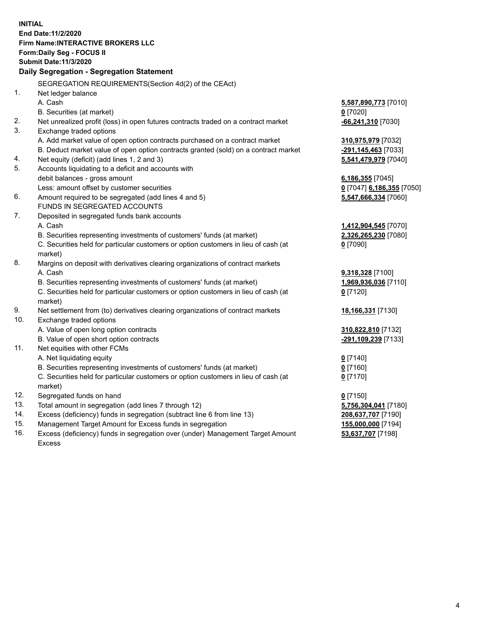**INITIAL End Date:11/2/2020 Firm Name:INTERACTIVE BROKERS LLC Form:Daily Seg - FOCUS II Submit Date:11/3/2020 Daily Segregation - Segregation Statement** SEGREGATION REQUIREMENTS(Section 4d(2) of the CEAct) 1. Net ledger balance A. Cash **5,587,890,773** [7010] B. Securities (at market) **0** [7020] 2. Net unrealized profit (loss) in open futures contracts traded on a contract market **-66,241,310** [7030] 3. Exchange traded options A. Add market value of open option contracts purchased on a contract market **310,975,979** [7032] B. Deduct market value of open option contracts granted (sold) on a contract market **-291,145,463** [7033] 4. Net equity (deficit) (add lines 1, 2 and 3) **5,541,479,979** [7040] 5. Accounts liquidating to a deficit and accounts with debit balances - gross amount **6,186,355** [7045] Less: amount offset by customer securities **0** [7047] **6,186,355** [7050] 6. Amount required to be segregated (add lines 4 and 5) **5,547,666,334** [7060] FUNDS IN SEGREGATED ACCOUNTS 7. Deposited in segregated funds bank accounts A. Cash **1,412,904,545** [7070] B. Securities representing investments of customers' funds (at market) **2,326,265,230** [7080] C. Securities held for particular customers or option customers in lieu of cash (at market) **0** [7090] 8. Margins on deposit with derivatives clearing organizations of contract markets A. Cash **9,318,328** [7100] B. Securities representing investments of customers' funds (at market) **1,969,936,036** [7110] C. Securities held for particular customers or option customers in lieu of cash (at market) **0** [7120] 9. Net settlement from (to) derivatives clearing organizations of contract markets **18,166,331** [7130] 10. Exchange traded options A. Value of open long option contracts **310,822,810** [7132] B. Value of open short option contracts **-291,109,239** [7133] 11. Net equities with other FCMs A. Net liquidating equity **0** [7140] B. Securities representing investments of customers' funds (at market) **0** [7160] C. Securities held for particular customers or option customers in lieu of cash (at market) **0** [7170] 12. Segregated funds on hand **0** [7150] 13. Total amount in segregation (add lines 7 through 12) **5,756,304,041** [7180] 14. Excess (deficiency) funds in segregation (subtract line 6 from line 13) **208,637,707** [7190] 15. Management Target Amount for Excess funds in segregation **155,000,000** [7194]

16. Excess (deficiency) funds in segregation over (under) Management Target Amount Excess

**53,637,707** [7198]